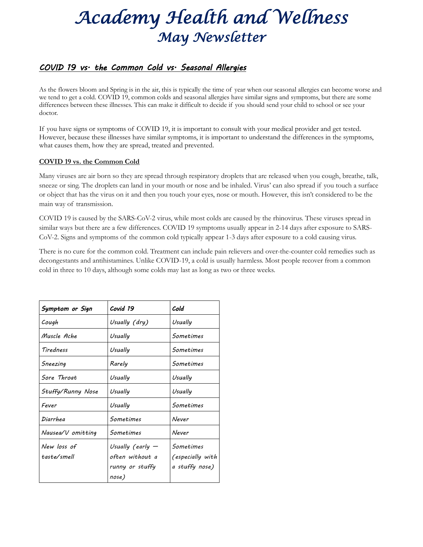## *Academy Health and Wellness May Newsletter*

## *COVID 19 vs. the Common Cold vs. Seasonal Allergies*

As the flowers bloom and Spring is in the air, this is typically the time of year when our seasonal allergies can become worse and we tend to get a cold. COVID 19, common colds and seasonal allergies have similar signs and symptoms, but there are some differences between these illnesses. This can make it difficult to decide if you should send your child to school or see your doctor.

If you have signs or symptoms of COVID 19, it is important to consult with your medical provider and get tested. However, because these illnesses have similar symptoms, it is important to understand the differences in the symptoms, what causes them, how they are spread, treated and prevented.

## **COVID 19 vs. the Common Cold**

Many viruses are air born so they are spread through respiratory droplets that are released when you cough, breathe, talk, sneeze or sing. The droplets can land in your mouth or nose and be inhaled. Virus' can also spread if you touch a surface or object that has the virus on it and then you touch your eyes, nose or mouth. However, this isn't considered to be the main way of transmission.

COVID 19 is caused by the SARS-CoV-2 virus, while most colds are caused by the rhinovirus. These viruses spread in similar ways but there are a few differences. COVID 19 symptoms usually appear in 2-14 days after exposure to SARS-CoV-2. Signs and symptoms of the common cold typically appear 1-3 days after exposure to a cold causing virus.

There is no cure for the common cold. Treatment can include pain relievers and over-the-counter cold remedies such as decongestants and antihistamines. Unlike COVID-19, a cold is usually harmless. Most people recover from a common cold in three to 10 days, although some colds may last as long as two or three weeks.

| Symptom or Sign   | Covid 19           | Cold             |
|-------------------|--------------------|------------------|
| Cough             | Usually (dry)      | Usually          |
| Muscle Ache       | Usually            | Sometimes        |
| Tiredness         | Usually            | Sometimes        |
| <b>Sneezing</b>   | Rarely             | Sometimes        |
| Sore Throat       | Usually            | Usually          |
| Stuffy/Runny Nose | Usually            | Usually          |
| Fever             | Usually            | Sometimes        |
| Diarrhea          | Sometimes          | Never            |
| Nausea/V omitting | Sometimes          | Never            |
| New loss of       | Usually (early $-$ | Sometimes        |
| taste/smell       | often without a    | (especially with |
|                   | runny or stuffy    | a stuffy nose)   |
|                   | nose)              |                  |